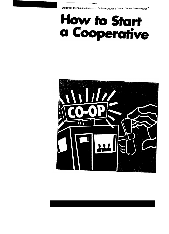# **How to Start** a Cooperative

UNITED STATES DEPARTMENT OF AGRICULTURE . RURAL BUSINESS/COOPERATIVE SERVICE . COOPERATIVE INFORMATION REPORT 7

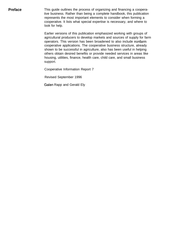**Preface** This guide outlines the process of organizing and financing a cooperative business. Rather than being a complete handbook, this publication represents the most important elements to consider when forming a cooperative. It lists what special expertise is necessary, and where to look for help.

> Earlier versions of this publication emphasized working with groups of agricultural producers to develop markets and sources of supply for farm operators. This version has been broadened to also include nonfarm cooperative applications. The cooperative business structure, already shown to be successful in agriculture, also has been useful in helping others obtain desired benefits or provide needed services in areas like housing, utilities, finance, health care, child care, and small business support.

Cooperative Information Report 7

Revised September 1996

Galen Rapp and Gerald Ely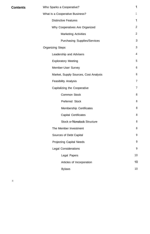| <b>Contents</b> | Who Sparks a Cooperative?             | $\mathbf{1}$    |
|-----------------|---------------------------------------|-----------------|
|                 | What Is a Cooperative Business?       | $\mathbf{1}$    |
|                 | <b>Distinctive Features</b>           | 1               |
|                 | Why Cooperatives Are Organized        | $\overline{2}$  |
|                 | <b>Marketing Activities</b>           | $\overline{2}$  |
|                 | <b>Purchasing Supplies/Services</b>   | 3               |
|                 | <b>Organizing Steps</b>               | 3               |
|                 | Leadership and Advisers               | $\overline{4}$  |
|                 | <b>Exploratory Meeting</b>            | 5               |
|                 | Member-User Survey                    | $6\phantom{1}6$ |
|                 | Market, Supply Sources, Cost Analysis | $6\phantom{1}6$ |
|                 | <b>Feasibility Analysis</b>           | $\overline{7}$  |
|                 | Capitalizing the Cooperative          | $\overline{7}$  |
|                 | <b>Common Stock</b>                   | 8               |
|                 | Preferred Stock                       | 8               |
|                 | Membership Certificates               | 8               |
|                 | <b>Capital Certificates</b>           | 8               |
|                 | <b>Stock or Nonstock Structure</b>    | 8               |
|                 | The Member Investment                 | 8               |
|                 | Sources of Debt Capital               | $9\,$           |
|                 | <b>Projecting Capital Needs</b>       | 9               |
|                 | <b>Legal Considerations</b>           | 9               |
|                 | Legal Papers                          | 10              |
|                 | Articles of Incorporation             | 10              |
|                 | <b>Bylaws</b>                         | 10              |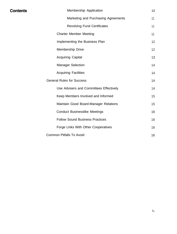| Membership Application                  | 10              |
|-----------------------------------------|-----------------|
| Marketing and Purchasing Agreements     | 11              |
| <b>Revolving Fund Certificates</b>      | 11              |
| <b>Charter Member Meeting</b>           | 11              |
| Implementing the Business Plan          | 12              |
| Membership Drive                        | 12 <sup>2</sup> |
| <b>Acquiring Capital</b>                | 13              |
| <b>Manager Selection</b>                | 14              |
| <b>Acquiring Facilities</b>             | 14              |
| <b>General Rules for Success</b>        | 14              |
| Use Advisers and Committees Effectively | 14              |
| Keep Members Involved and Informed      | 15              |
| Maintain Good Board-Manager Relations   | 15              |
| <b>Conduct Businesslike Meetings</b>    | 16              |
| <b>Follow Sound Business Practices</b>  | 16              |
| Forge Links With Other Cooperatives     | 16              |
| <b>Common Pitfalls To Avoid</b>         | 16              |

**Contents**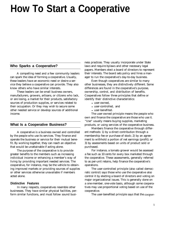# **How To Start a Cooperative**

#### **Who Sparks a Cooperative?**

A compelling need and a few community leaders can spark the idea of forming a cooperative. Usually, these leaders have an economic need or desire a service they believe a cooperative can provide. They also know others who have similar interests.

These leaders can be small business owners, manufacturers, growers, artisans, or citizens who lack, or are losing, a market for their products, satisfactory sources of production supplies, or services related to their occupation. Or they may wish to secure some other needed service or develop sources of additional income.

#### **What Is a Cooperative Business?**

A cooperative is a business owned and controlled by the people who use its services. They finance and operate the business or service for their mutual benefit. By working together, they can reach an objective that would be unattainable if acting alone.

The purpose of the cooperative is to provide greater benefits to the members such as increasing individual income or enhancing a member's way of living by providing important needed services. The cooperative, for instance, may be the vehicle to obtaining improved markets or providing sources of supplies or other services otherwise unavailable if members acted alone.

#### **Distinctive Features**

In many respects, cooperatives resemble other businesses. They have similar physical facilities, perform similar functions, and must follow sound busi-

ness practices. They usually incorporate under State laws and require bylaws and other necessary legal papers. Members elect a board of directors to represent their interests. The board sets policy and hires a manager to run the cooperative's day-to-day business.

Even though cooperatives are similar to many other businesses, they are distinctively different. Some differences are found in the cooperative's purpose, ownership, control, and distribution of benefits. Cooperatives follow three principles that define or identify their distinctive characteristics:

- user-owned,
- user-controlled, and
- user-benefited.

The user-owned principle means the people who own and finance the cooperative are those who use it. "Use" usually means buying supplies, marketing products, or using services of the cooperative business.

Members finance the cooperative through different methods: 1) by a direct contribution through a membership fee or purchase of stock; 2) by an agreement to withhold a portion of net earnings (profit); or 3) by assessments based on units of product sold or purchased.

For instance, a tomato grower would be assessed a fee such as 10 cents for every box marketed through the cooperative. These assessments, generally referred to as per-unit retains, help finance the cooperative's operations.

The user-controlled principle (also called democratic control) says those who use the cooperative also control it by electing a board of directors and voting on major organizational issues. This is generally done on a one-member, one-vote basis, although some cooperatives may use proportional voting based on use of the cooperative.

The user-benefited principle says that the cooper-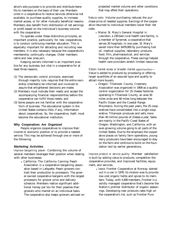ative's sole purpose is to provide and distribute benefits to members on the basis of their use. Members unite in a cooperative to receive services otherwise not available, to purchase quality supplies, to increase market access, or for other mutually beneficial reasons. Members also benefit from distribution of net earnings or profit based on the individual's business volume with the cooperative.

To operate under these distinctive principles, an important practice, particularly for new cooperatives, is to conduct continuing member education. This is especially important for attracting and recruiting new members. It is also necessary because the cooperative's membership continually changes. Older members retire and new ones join.

Keeping owners informed is an important practice for any business, but vital in a cooperative for at least three reasons:

- (1) The democratic control principle, exercised through majority rule, requires that the entire ownership (members) be informed and involved to assure that enlightened decisions are made;
- (2) Members must indicate their needs and accept the accompanying financial responsibilities before the cooperative can fulfill those needs; and
- (3) Some people are not familiar with the cooperative form of business. The educational system in the United States contains little, if any, information about cooperatives. So, the cooperative, itself, must become the educational institution.

#### **Why Cooperatives Are Organized**

People organize cooperatives to improve their income or economic position or to provide a needed service. This may be achieved through one or more of the following:

#### *Marketing Activities*

*Improve bargaining power-* Combining the volume of several members leverages their position when dealing with other businesses.

> • California: The California Canning Peach Association is a cooperative bargaining association based in Lafayette. Peach growers contract their production to processors. The grower-owned cooperative bargains with the largest processors for grower price and delivery schedule. Members realize significant additional money per ton for their peaches than growers who market on an individual basis. The cooperative also keeps growers advised on the cooperative's list, such as Frontier Pure

projected market volume and other conditions that may effect their operations.

*Reduce costs-* Volume purchasing reduces the purchase price of needed supplies. Earnings of the cooperative returned to individual members lower their net costs.

• Maine: St. Mary's General Hospital in Lewiston, a 230-bed rural health care facility, is a member of Synernet, a cooperative that serves 20 hospitals. In one year, St. Mary's saved more than \$479,000 by purchasing fuel oil, medical supplies, laboratory products, food, film, pharmaceutical, and services through the cooperative. These savings helped health care providers stretch limited resources.

*Obtain market access or broaden market opportunities-*Value is added to products by processing or offering larger quantities of an assured type and quality to attract more buyers.

• Oregon: Tillamook County Creamery Association was organized in 1909 as a quality control organization for 25 cheese factories operating in Tillamook County, an area 30 miles wide and 60 miles long between the Pacific Ocean and the Coastal Range Mountains. During the past years, the 25 cooperatives have consolidated into a single cooperative. Tillamook produces and sells more than 45 million pounds of cheese a year. Sales are mainly in the Pacific Coast States of Oregon, Washington, and California, with an ever-growing volume going to all parts of the United States. Due to the emphasis the cooperative places on family farm operations, young dairy producers have been encouraged to stay on the farm and continue to build on the foundation laid by earlier generations.

*Improve product or service quality-* Member satisfaction is built by adding value to products, competition the cooperative provides, and improved facilities, equipment, and services.

• Iowa: Frontier Cooperative at Norway started out in a van in 1976. Its mission was to provide low-cost organic herbs and spices to its members. Today, with 5,400 members, Frontier is a solidly managed cooperative that's become the Nation's premier distributor of organic seasonings. Developing new products rates high on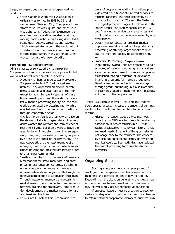Lager, an organic beer, as well as encapsulated herb products.

> • North Carolina: Watermark Association of Artisans was formed in 1978 by 35 rural women near Elizabeth City. They pooled their efforts to sell baskets, quilts, and other handmade gift items. Today, the 750 member-artisans produce decorative wooden products, rocking horses, antique quilts, rag dolls, teddy bears, duck decoys, wreathes, and baskets which are marketed around the world. About three-fourths of the members are from lowincome backgrounds. Many are single, unemployed mothers with few job skills.

#### **Purchasing Supplies/Services**

*Obtain products or services otherwise unavailable-*Cooperatives often provide services or products that would not attract other private businesses.

- Oregon: Members of Blue Water Harvesters Cooperative in Port Oxford harvest sea urchins. They depended on several private firms to extract and clear package "roe" for export to Japan. In recent years, all of these firms ceased operations. The watermen were left without a processing facility. So, the cooperative purchased a processing facility which enabled members to continue their livelihood through cooperative action.
- $\bullet$  Michigan: Frankfort is a small city of 1,500 on the shores of Lake Michigan. Many older residents wanted the comfort and convenience of retirement living, but didn't want to leave the area. Initially, 54 couples moved into an especially designed, new elderly housing cooperative close to the center of the community. The new cooperative is the latest example of an emerging trend in providing affordable senior citizen housing facilities that are ideally suited to small rural communities.
- Flexible manufacturing networks-These are a mechanism for small manufacturing enterprises in local geographical areas. By joining under a cooperative umbrella, members achieve certain shared objectives that might be otherwise impossible to achieve on their own. Through networks, members share costs for market research, environmental compliance, or technical training for employees. Joint production development and market penetration are also feasible objectives.
- l Farm Credit System-This nationwide net-

work of cooperative lending institutions provides credit and financially related services to farmers, ranchers, and their cooperatives. In existence for more than 75 years, the System is the largest provider of agricultural credit in the United States. The System specializes in lowcost financing for agricultural enterprises and rural utilities. Its expertise is unequaled by any other lender.

- <sup>l</sup>Obtain market access or broaden market opportunities-Value is added to products by processing or offering larger quantities of an assured type and quality to attract more buyers.
- Franchise Purchasing Cooperatives-Individually owned units are organized to gain economy of scale in purchasing goods and services. Some have formed insurance companies, established leasing programs, or developed financing programs for members' equipment. Benefits are derived not only from savings through group purchasing, but also from sharing earnings based on each member's business volume with the cooperative.

*Reduce Cost/Increase Income-* Reducing the cooperative's operating costs increases the amount of earnings available for distribution to members to boost their income.

• Missouri: Glasgow Cooperative, Inc., was organized in 1923 as a farm supply purchasing association. It serves farmers in a 15-mile radius of Glasgow. In its 70-year history, it has returned nearly 8 percent of the gross sales in patronage back to the members. The cooperative also has an excellent history of revolving member equities. Both activities have reduced the cost of providing farm supplies to the members.

#### **Organizing Steps**

Starting a cooperative is a complex project. A small group of prospective members discuss a common need and develop an idea of how to fulfill it. Depending on the situation generating the idea, a new cooperative may be welcomed with enthusiasm or may be met with vigorous competitive opposition.

If opposed, leaders must be prepared to react to various strategies of competitors such as price changes to retain potential cooperative members' business; bet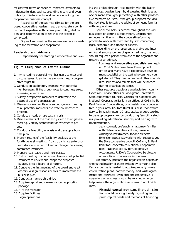ter contract terms or canceled contracts; attempts to influence lenders against providing credit; and even publicity, misstatements, and rumors attacking the cooperative business concept.

Regardless of the business climate for the proposed cooperative, leaders must demonstrate a combination of expertise, enthusiasm, practicality, dedication, and determination to see that the project is completed.

Figure 1 summarizes the sequence of events leading to the formation of a cooperative.

#### **Leadership and Advisers**

Responsibility for starting a cooperative and see-

#### **Figure l-Sequence of Events Outline**

- **1.** Invite leading potential member-users to meet and discuss issues. Identify the economic need a cooperative might fill.
- 2. Conduct an exploratory meeting with potential member-users. If the group votes to continue, select a steering committee.
- 3. Survey prospective members to determine the potential use of a cooperative.
- 4. Discuss survey results at a second general meeting of all potential members and vote on whether to proceed.
- 5. Conduct a needs or use cost analysis.
- 6. Discuss results of the cost analysis at a third general meeting. Vote by secret ballot on whether to proceed.
- 7. Conduct a feasibility analysis and develop a business plan.
- 8. Present results of the feasibility analysis at the fourth general meeting. If participants agree to proceed, decide whether to keep or change the steering committee members.
- 9. Prepare legal papers and incorporate.
- 10. Call a meeting of charter members and all potential members to review and adopt the proposed bylaws. Elect a board of directors.
- 11. Convene the first meeting of the board and elect officers. Assign responsibilities to implement the business plan.
- 12. Conduct a membership drive.
- 13. Acquire capital and develop a loan application package.
- 14. Hire the manager.
- 15. Acquire facilities.
- 16. Begin operations.

ing the project through rests mostly with the leadership group. Leaders begin by discussing their idea at one or more small group meetings with other prospective members or users. If the group supports the idea, the next step is to seek the advice of someone familiar with cooperatives.

Specialized help is needed throughout the various stages of starting a cooperative. Leaders need someone familiar with the cooperative-forming process to work with them step by step concerning legal, economic, and financial aspects.

Depending on the resources available and interest found among sources of specialized help, the group should request a person from one of the organizations to serve as an adviser.

l **Business and cooperative specialists** are needed. Most States have Rural Development offices and many have a cooperative development specialist on the staff who can help you get started. They can recommend other specialized services and talents that will be needed during organization stages.

Other resource people are available from county Extension Service offices or land-grant universities, State cooperative councils, Centers for Cooperatives, National Cooperative Bank, area offices of CoBank, St. Paul Bank of Cooperatives, or an established cooperative in your area. USDA's Rural Business-Cooperative Service in Washington, DC, also assists groups seeking to develop cooperatives by conducting feasibility studies, providing educational services, and helping with implementation.

• Legal counsel, preferably an attorney familiar with State cooperative statutes, is needed. Among sources to check for one are State Extension specialists working with cooperatives, the State cooperative council, CoBank, St. Paul Bank for Cooperatives, National Cooperative Bank, National Society for Cooperative Accountants, USDA's Cooperative Services, or an established cooperative in the area.

An attorney prepares the organization papers or checks the legality of those written by someone else. Early expertise is needed to acquire property, make capitalization plans, borrow money, and write agreements and contracts. Even after the cooperative is operating, an attorney should be retained who can help ensure the organization conforms to applicable laws.

. **Financial counsel** from some financial institution should be sought early regarding anticipated capital needs and methods of financing.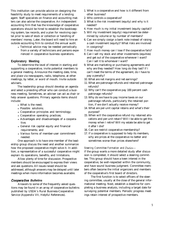This institution can provide advice on designing the feasibility study to meet requirements of a lending agent. Staff specialists on finance and accounting matters can also advise the cooperative. An independent accounting firm that has the knowledge of cooperative operations should be hired to establish the bookkeeping system, tax records, and a plan for revolving capital prior to sale of stock or collection or handling of members' money. Later, the board will need to hire an outside accounting firm to conduct the annual audit.

> • Technical advice may be needed periodically from a variety of technicians and persons experienced in cooperative business operations.

#### **Exploratory Meeting**

To determine the level of interest in starting and supporting a cooperative, invite potential members to a general meeting. Announce the meeting date, time, and place via newspapers, radio, telephone, at other meetings, by letter, or word of mouth. Invite outside advisers.

The leadership group should develop an agenda and select a presiding officer who can conduct a business meeting. Sometimes, an adviser can act as chair or help answer questions. Primary agenda items should include:

- What is the need;
- Possible solutions:
- Cooperative principles and terminology;
- Cooperative operating practices;
- Advantages and disadvantages of a cooperative;
- General risk capital equity and financial requirements; and
- Various forms of member-user commitment needed.

One approach is to have one member of the leadership group discuss the need and another summarize how the proposed cooperative might solve it. In addition, a representative of a successful cooperative might explain its operations, benefits, and limitations.

Allow plenty of time for discussion. Prospective members should be encouraged to express their views and ask questions. All issues raised should be addressed, although answers may be delayed until later meetings when more information becomes available.

#### *Coopera five Bulletins*

Answers to some of the frequently asked questions may be found in an array of cooperative bulletins published by USDA's Rural Business-Cooperative Service (Appendix VII, Helpful References).

- 1. What is a cooperative and how is it different from other business?
- 2. Who controls a cooperative?
- 3. What is the risk investment (equity) and why is it needed?
- 4. How much is my initial investment (equity capital)?
- 5. Will my investment (equity) requirement be determined by volume or by number of members?
- 6. Can we simply cosign a bank note instead of raising a cash investment (equity)? What risks are involved in cosigning?
- 7. How much money can I lose if the cooperative fails?
- 8. Can I sell my stock and other investments (equities) and get out of the cooperative whenever I want? Can I sell it to whomever I want?
- 9. What are marketing or purchasing agreements and why are they needed? How long do they last? If I can't meet the terms of the agreement, do I have to pay a penalty?
- 10. What are net margins and net earnings?
- 11. What are patronage refunds and retained patronage refunds?
- 12. Why can't the cooperative pay 100 percent cash patronage refunds?
- 13. Why do we have to pay income taxes on our patronage refunds, particularly the retained portion, if we don't actually receive money?
- 14. What are per-unit capital retains and what's their purpose?
- 15. When will the cooperative refund my retained allocations and per-unit retain? Will I be able to get this money when I retire? Will my estate be able to get it after I die?
- 16. Can we restrict cooperative membership?
- 17. If a cooperative is supposed to help its members, why are prices at the cooperative no better and sometimes worse than prices elsewhere?

#### *Steering Committee Formation and Duties-*

If the group wants a more detailed study after discussion is completed, it should select a steering committee. This group should have a keen interest in the cooperative, be well-respected within the community, and have sound business judgment. Committee members often become the initial organizers and members of the cooperative's first board of directors.

The first function is to select officers of the steering committee, usually at the close of the general informational meeting. Next, establish a deadline for completing a business analysis, including a target date for surveying potential members. Periodic progress meetings retain interest of prospective members.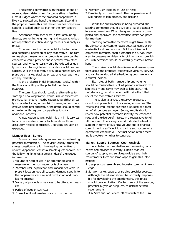The steering committee, with the help of one or more advisers, determines if a cooperative is feasible. First, it judges whether the proposed cooperative is likely to succeed and benefit its members. Second, if the proposal passes this test, the committee prepares a specific, detailed business plan for the new cooperative.

Assistance from specialists in law, accounting, finance, economics, engineering, and cooperative business operations is critical during the business analysis phase.

Economic need is fundamental to the formation and successful operation of any cooperative. The committee should examine what products or services the cooperative could provide, those needed from other sources, and whether costs would be reduced or quality improved. Intangible functions also should be considered. Will the cooperative provide a needed service, preserve a market, stabilize prices, or encourage more orderly marketing?

Is the projected initial investment (equity) within the financial ability of the potential members involved?

The committee should consider alternatives to starting a new cooperative. Could similar services be provided by another nearby cooperative, either directly or by establishing a branch? If forming a new cooperative is the best alternative, the group should consider linking with regional cooperatives to obtain additional benefits.

A new cooperative should initially limit services to avoid elaborate or costly facilities above those absolutely needed. If successful, services can later be expanded.

#### **Member-User Survey**

Formal survey techniques are best for estimating potential membership. The adviser usually drafts the survey questionnaire for the steering committee to review. Appendix I carries a sample questionnaire, but the following list gives a general idea of the needed information:

- 1. Volume of need or use in an appropriate unit of measure for the most recent or typical year;
- 2. Member-user experience and capabilities-years in present location, overall success, demand specific to the cooperative venture, and production and marketing success;
- 3. Variety of products or services to be offered or needed;
- 4. Period of need or services;
- 5. Current unit value-sales price or cost per unit;
- 6. Member-user-location of use or need;
- 7. Familiarity with and use of other cooperatives and willingness to join, finance, and use one.

While the questionnaire is being prepared, the steering committee should develop a list of potentially interested members. When the questionnaire is completed and approved, the committee interviews potential members.

Steering committee members might travel with the adviser or advisers to locate potential users or otherwise fix locations on a map. But the adviser, not committee members, should conduct the survey interview to preserve confidentiality of information provided. Such occasions should be carefully assessed beforehand.

The adviser should also discuss and answer questions about the proposed cooperative venture. Surveys also can be conducted at scheduled group meetings at a central location.

Estimates of both membership and volume should be conservative. Not all persons interested will join initially and some may wait to join later. And, unfortunately, not all who join will make the fullest use of the cooperative's services.

The adviser analyzes the survey, prepares a report, and presents it to the steering committee. The results and implications are then discussed at a meeting of all persons surveyed. Survey results should reveal how potential members identify the economic need and the degree of interest in a cooperative to fulfill that need. The survey should indicate the level of support in terms of business volume and if financial commitment is sufficient to organize and successfully operate the cooperative. The final action at this meeting is a vote on whether to continue.

#### **Market, Supply Sources, Cost Analysis**

A vote to continue challenges the steering committee and adviser to identify suitable markets, sources of supply, and service providers and their requirements. Here are some ways to gain this information:

- 1. Use previous research and industry common knowledge.
- 2. Survey market, supply, or service provider sources. Although the advisor should be primarily responsible for developing the questionnaire, this phase should be a joint effort. Contact users of the services, potential buyers or suppliers, to determine their requirements.
- 3. Ask State and/or Federal offices (such as the Rural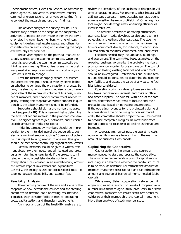Development offices, Extension Service, or community action agencies), universities, cooperative centers, commodity organizations, or private consulting firms to conduct the research and use their findings.

The adviser analyzes the survey results. This process may determine the scope of the cooperative's activities. Contacts are then made, either by the adviser or steering committee members, with engineers, equipment dealers, real estate agents, and others for cost estimates on establishing and operating the cooperative's physical facilities.

The adviser reports on the potential markets or supply sources to the steering committee. Once the report is approved, the steering committee calls the third general meeting. The adviser presents the preliminary market or supply estimation and cost analysis. Both are subject to change.

After the market or supply report is discussed and accepted, the group should vote by secret ballot on whether to continue the organizational process. By now, the steering committee and adviser should have a good idea of the minimum volume of business, number of members, and financial commitment needed to justify starting the cooperative. Where support is questionable, the token investment should be refunded.

Supporters should sign a premembership agreement (Appendix III). This agreement helps determine the extent of serious interest in the proposed cooperative. The signer agrees to join, patronize, and furnish a specific amount of initial risk capital.

Initial investment by members should be in proportion to their intended use of the cooperative, but start at a minimal amount such as 10 percent of potential risk capital (equity) needed to operate. This goal should be met before continuing organizational efforts.

Potential members should be given a written statement about how their investment will be used and procedures for returning unused funds if the project is terminated or the individual later decides not to join. The money should be deposited in an interest-bearing account and records kept of investments and expenditures. Generally, this money is used for organizational costs like supplies, postage, phone bills, and attorney fees.

#### **Feasibility Analysis**

The emerging picture of the size and scope of the cooperative now permits the adviser and the steering committee to develop basic operating assumptions. Together, they consider facilities needed, operating costs, capitalization, and financial requirements.

An important part of the feasibility analysis is to

review the sensitivity of the business to changes in volume or operating costs. For example, what impact will a 25-percent decrease in product sales, perhaps due to adverse weather, have on profitability? Other key factors might include wage rates, operating efficiencies, interest rates, etc.

The adviser determines operating efficiencies, estimates labor needs, develops service and payment schedules, and gathers other cost data. The steering committee will have to contract with an engineering firm or equipment dealer, for instance, to obtain specialized data on facilities, equipment, and labor costs.

Facilities needed may include land, buildings, and equipment. The committee bases estimates on the expected business volume by the probable members, plus some allowance for future expansion. The cost of buying or leasing existing facilities and equipment should be investigated. Professionals and skilled technicians should be consulted to determine the need for new facilities and assess the value of any existing facilities being considered.

Operating costs include employee salaries, utilities, taxes, depreciation, interest, and costs of office and other supplies. The adviser, with help of the committee, determines what items to include and their probable cost, based on operating assumptions. If the operating revenues for the projected volume of business show little or no margins over estimated costs, the committee should project the volume needed to produce acceptable margins. In most businesses, per-unit operating costs tend to decline as the volume increases.

A cooperative's lowest possible operating costs occur when its members furnish it with the maximum amount of business it can handle.

#### **Capitalizing the Cooperative**

Capitalization is the amount and source of money needed to start and operate the cooperative. The committee recommends a plan of capitalization including: (1) determine whether the capital structure is to be stock or nonstock; (2) estimate the amount of member investment (risk capital); and (3) estimate the amount and source of borrowed money needed (debt capital).

While many State incorporation statutes permit organizing as either a stock or nonstock cooperative, a number limit them to agricultural producers. In a stock cooperative, members are issued stock certificates as evidence of their membership and capital investment. More than one type of stock may be issued.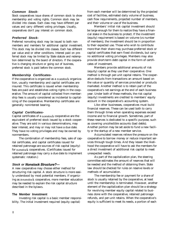#### *Common Stock-*

Stock cooperatives issue shares of common stock to show membership and voting rights. Common stock may be divided into classes. Each class may have different par values and carry different voting privileges. Usually, cooperatives don't pay interest on common stock.

#### *Preferred Stock-*

Preferred nonvoting stock may be issued to both nonmembers and members for additional capital investment. This stock may be divided into classes. Each has different par value and/or other conditions. Interest paid on preferred stock may be limited by State statute and redemption determined by the board of directors. If the cooperative is changing structure or going out of business, preferred stock is paid before the common stock.

#### *Membership Certificates-*

If the cooperative is organized as a nonstock organization, usually membership and capital certificates are insured. This certificate is issued when membership fees are paid and establishes voting rights in the cooperative. The amount of capital collected from membership fees is usually considered as incidental to capitalizing of the cooperative. Membership certificates are generally noninterest bearing.

#### *Capital Certificates-*

Capital certificates of a nonstock cooperative are the equivalent of preferred stock issued by a stock cooperative. They are sold in various denominations, may bear interest, and may or may not have a due date. They have no voting privileges and may be owned by nonmembers.

The combination of membership fees, sale of capital certificates, and capital certificates issued for retained patronage are sources of risk capital (equity) for nonstock cooperatives. (Certificates issued for retained patronage may carry a due date to implement systematic rotation.)

#### *Stock or Nonstock Structure?-*

A new cooperative may choose either method for structuring risk capital. A stock structure is more easily understood by most potential members. If organizing as a nonstock cooperative, more member education may be needed to explain the risk capital structure described in the bylaws.

#### **The Member Investment**

Investing risk capital is a basic member responsibility. The initial investment required (equity capital)

from each member will be determined by the projected cost of facilities, estimated daily volume of business, cash flow requirements, projected number of members, and their volume or use of the business.

Members' initial risk capital investment should be large enough for them to realize they have a financial stake in the business to protect. If the investment (equity) requirement is based on volume (vs number of members), the investment should be in proportion to their expected use. Those who wish to contribute more than their share may purchase preferred stock or capital certificates that earn fixed dividends, but carry no additional voting privileges. Members may also provide short-term debt capital in the form of certificates of investment.

Members provide additional amounts of risk (equity) capital as they use their cooperative. One method is through per-unit capital retains. The cooperative deducts from transactions an amount based on the value or quantity of services provided or products marketed. Another method is to retain part of the cooperative's net earnings at the end of each business year. Under both of these methods, the risk capital (equity) investments are credited to members' equity account in the cooperative's accounting system.

Like other businesses, cooperatives must build financial reserves. These can be used both to carry them through times when operating expenses exceed income and to financial growth. Sometimes, part of these reserves is dedicated to a specific purpose, such as covering uncollectible accounts (bad debts). Another portion may be set aside to fund a new facility or the startup of a new member service.

Accumulated reserves relieve the pressure on the cooperative to borrow money or reduce important services through tough times. And they lessen the likelihood the cooperative will have to ask the members for a direct investment of additional risk capital to meet unexpected needs.

As part of the capitalization plan, the steering committee estimates the amount of reserves that will be needed and the method of obtaining them. State law should be checked for rules on reserve levels or methods of accumulation.

The membership fee or payment for a share of stock is usually retained by the cooperative, at least until the membership is terminated. However, another element of the capitalization plan should be a strategy for revolving member equity capital related to business done with the cooperative, retained patronage refunds, and per-unit retains. When the cooperative's equity is sufficient to meet its needs, a portion of each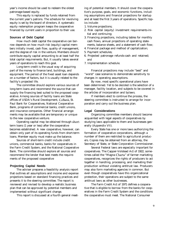year's income should be used to redeem the oldest patronage-based equity.

This equity is replaced by funds retained from the current year's patrons. The schedule for revolving equity is set by the board of directors. A systematic equity redemption program keeps the cooperative financed by current users in proportion to their use.

#### **Sources of Debt Capital**

How much debt capital the cooperative can borrow depends on how much risk (equity) capital members initially invest, cash flow, quality of management, and the degree of risk in the venture. Members should contribute equity capital amounting to at least half the total capital requirements. But, it usually takes several years of operations to reach this goal.

Long-term credit is the usual way of acquiring part of the money to finance land, buildings, and equipment. The period of the fixed asset loan depends on a number of factors, but it is usually related to the facility's projected life.

The committee should explore various sources of long-term loans and recommend the source that can supply the financing best suited to the proposed cooperative. Among sources of facility loans are State offices of USDA's Rural Development, CoBank, St. Paul Bank for Cooperatives, National Cooperative Bank, programs of commercial banks, credit unions, and insurance companies. Other financial arrangements may be available that are temporary or unique to the new cooperative venture.

Operating capital may be obtained through shortterm loans (1 year or less) after the cooperative becomes established. A new cooperative, however, can obtain only part of its operating funds from short-term loans. Member equity must make up the balance.

Sources of short-term credit include credit unions, commercial banks, banks for cooperatives in the Farm Credit System, and the National Cooperative Bank. The committee should explore all sources and recommend the lender that best meets the requirements of the proposed cooperative

#### **Projecting Capital Needs**

The adviser prepares a feasibility analysis report that outlines all assumptions and income and expense projections based on standard financing practices and presents it to the steering committee. The report is reviewed and revised to develop a realistic business plan that can be approved by potential members and implemented without significant change.

This report is discussed at a fourth general meet-

ing of potential members. It should cover the cooperative's purpose, goals, and economic functions, including assumptions and financial projections for startup and at least the first 3 years of operations. Specific topics include:

- 1. Volume projections;
- 2. Risk capital (equity) investment requirements-initial and continuing;
- 3. Financing projections, including tables for monthly cash flows, annual projections of operating statements, balance sheets, and a statement of cash flow;
- 4. Financial package and method of capitalization;
- 5. Payment schedules;
- 6. Projected patronage refunds-cash and retained; and
- 7. Implementation schedule.

Financial projections may include "best" and "worst" case scenarios to demonstrate sensitivity to changes in operating assumptions.

By now, most specific operational plans have been determined. Yet to be decided is the selection of a manager, facility location, and subjects to be covered in the articles of incorporation and bylaws.

If members elect to continue the process, the steering committee is instructed to arrange for incorporation and carry out the business plan.

#### **Legal Considerations**

Organizing committee members should become acquainted with legal aspects of cooperatives by studying laws applicable to them and businesses generally (Appendix VII).

Every State has one or more laws authorizing the formation of cooperative corporations, although a number of them are restricted to agricultural producers. Copies may be obtained from an attorney, the Secretary of State, or State Corporation Commissioner.

Several Federal laws are especially important for cooperatives. The Capper-Volstead Act of 1922, sometimes called the "Magna Charta" of farmer marketing cooperatives, recognizes the rights of producers to act together in handling, processing, and marketing their production without violating antitrust law. Producers may also form marketing agencies in common. But even though cooperatives have this organizational protection, their operations are subject to the same antitrust laws as other businesses.

The Farm Credit Act of 1971 defines a cooperative that is eligible to borrow from the banks for cooperatives in the Farm Credit System and the conditions the cooperative must meet. The National Consumer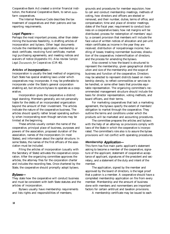Cooperative Bank Act created a similar financial institution, the National Cooperative Bank, to serve nonfarm cooperatives.

The Internal Revenue Code describes the tax treatment of cooperatives and their patrons and tax reporting requirements.

#### *Legal Papers-*

Perhaps the most important process, other than determining the business feasibility, is drafting articles of incorporation and bylaws. Other legal documents include the membership application, membership or stock certificate, revolving fund certificate, marketing/purchasing agreements, and meeting notices and waivers of notice (Appendix III). Also review *Sample Legal* Documents for *Cooperatives* (CIR 40).

#### *Articles of Incorporation-*

Incorporation is usually the best method of organizing. Each State has special enabling laws under which cooperatives may incorporate. It may be preferable to incorporate under the State's general corporation enabling act, but structure bylaws to operate as a cooperative.

Incorporation gives the cooperative a distinct legal standing. Members generally are not personally liable for the debts of an incorporated organization beyond the amount of their investment. The articles indicate the nature of the cooperative business. The articles should specify rather broad operating authority when incorporating even though services may be limited at the beginning.

These articles usually contain the name of the cooperative, principal place of business, purposes and powers of the association, proposed duration of the association, names of the incorporators (in most States), and information about the capital structure. In some States, the names of the first officers of the association must be included.

Filing the articles of incorporation (usually with the Secretary of State) activates the cooperative corporation. After the organizing committee approves the articles, the attorney files for the corporation charter and includes the recording fees. Once chartered by the State, the cooperative should promptly adopt bylaws.

#### *Bylaws-*

They state how the cooperative will conduct business and must be consistent with both State statutes and the articles of incorporation.

Bylaws usually have membership requirements and lists rights and responsibilities of members;

grounds and procedures for member expulsion; how to call and conduct membership meetings, methods of voting, how directors and officers are elected or removed, and their number, duties, terms of office, and compensation; time and place of director meetings; dates of the fiscal year; requirement to conduct business on a cooperative basis; how net margins will be distributed; process for redemption of members' equity; a consent provision that members will include the face value of written notices of allocation and per-unit retain certificates as income in the year they are received; distribution of nonpatronage income; handling of losses; treating nonmember business; dissolution of the cooperative; indemnification of directors; and the process for amending the bylaws.

Also covered is how the board is structured to represent the membership, given geographical distribution and size of the membership and the scope of business and function of the cooperative. Directors may be selected to represent districts based on membership density, to reflect commodities or services to be handled, or some other basis that provides equitable representation. The organizing committee's recommended management structure should include the basis for director representation, voting methods, and board officers, and their terms.

For marketing cooperatives that lack a marketing agreement, the bylaws specify the extent of members' obligation to market through the cooperative. They outline the terms and conditions under which the products will be marketed and accounting procedures.

The committee prepares the articles and bylaws with the help of an attorney so provisions comply with laws of the State in which the cooperative is incorporated. The committee's role also is to assure the bylaw provisions will not conflict with operating procedures.

#### *Membership Application-*

This form has five main parts: applicant's statement asking to become a member of the cooperative, signature of the applicant, statement of cooperative acceptance of applicant, signatures of the president and secretary, and a statement of the duty and intent of the member.

The application, signed by the member and approved by the board of directors, is the legal proof that a patron is a member. A cooperative should have a completed membership application on file from every member. Membership and the amount of business done with members and nonmembers are important factors for certain antitrust and taxation provisions.

A membership certificate may be issued to each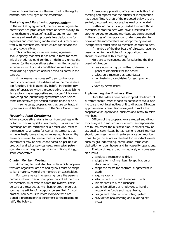member as evidence of entitlement to all of the rights, benefits, and privileges of the association.

#### *Marketing and Purchasing Agreemenfs-*

In the marketing agreement, the association agrees to accept specified products of stated or better quality, to market them to the best of its ability, and to return to members all marketing proceeds less deductions for expenses and continuing capital needs. A similar contract with members can be structured for service and supply cooperatives.

This continuing or self-renewing agreement should specify that after it has been in force for some initial period, it should continue indefinitely unless the member (or the cooperative) states in writing a desire to cancel or modify it. A cancellation request must be made during a specified annual period as noted in the contract.

An agreement ensures sufficient control over products or services to be delivered so the cooperative can function. This is especially helpful in the first few years of operation when the cooperative is establishing its reputation as a responsible and successful business. Marketing and purchasing agreements have helped some cooperatives get needed outside financial help.

In some cases, cooperatives that use contractual agreements must file them with the State Government.

#### *Revolving Fund Certificates-*

When a cooperative retains funds from business with or for patrons as capital investments, it issues a written patronage refund certificate or a similar document to the member as a receipt for capital investments that will eventually be revolved or redeemed. Meanwhile, the retain is used to finance the business. Member investments may be deductions based on per-unit of product handled or services used, reinvested patronage refunds, or original capital subscriptions, if a nonstock cooperative.

#### **Charter Member Meeting**

According to most statutes under which cooperatives are organized, articles and bylaws must be adopted by a majority vote of the members or stockholders.

For convenience in organizing, only the persons named in the articles of incorporation, called the charter members, must vote to adopt the bylaws. These persons are regarded as members or stockholders as soon as the articles of incorporation are filed. A good practice, however, is to invite everyone who has signed a premembership agreement to the meeting to ratify the bylaws.

A temporary presiding officer conducts this first meeting and reports that the articles of incorporation have been filed. A draft of the proposed bylaws is presented, discussed, and adopted as read or amended.

Further action is usually needed to accept those members or stockholders who have subscribed for stock or agreed to become members but are not named in the articles of incorporation. Under some statutes, however, the incorporators can adopt the bylaws as incorporators rather than as members or stockholders.

If members of the first board of directors have not been named in the articles of incorporation, they should be elected at this meeting.

Here are some suggestions for selecting the first board of directors:

- use a nominating committee to develop a panel of candidates for the board;
- select only members as candidates;
- nominate two candidates for each position; and
- vote by secret ballot.

#### **Implementing the Business Plan**

Once the bylaws have been adopted, the board of directors should meet as soon as possible to avoid having to send out legal notices of it to directors. Directors approve various resolutions designed to make the cooperative an operational business and ready to serve members.

Officers of the cooperative are elected and directors assigned to individual or committee responsibilities to implement the business plan. Members may be assigned to committees, but at least one board member should be on each committee to enhance communications. Target dates are established for important events such as groundbreaking, construction completion, dedication or open house, and full-capacity operations.

The board needs to act immediately on some specific items:

- conduct a membership drive;
- adopt a form of membership application or stock subscription;
- adopt the forms for contractual agreement if used;
- acquire capital;
- select a bank in which to deposit funds;
- initiate steps to hire a manager;
- authorize officers or employees to handle cooperative funds and issue checks;
- design and install an accounting system.
- provide for bookkeeping and auditing services;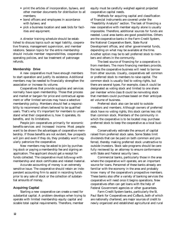- print the articles of incorporation, bylaws, and other member documents for distribution to all members;
- bond officers and employees in accordance with bylaws; and
- pick a business location and seek bids for facilities and equipment.

director training schedule should be established to discuss topics such as legal liability, cooperative finance, management supervision, and member relations. Session topics for the entire membership should include member responsibilities, cooperative operating policies, and tax treatment of patronage refunds.

#### **Membership Drive**

A new cooperative must have enough members to start operation and justify its existence. Additional members may be needed to financially strengthen the association or increase its volume.

Cooperatives that provide supplies and services normally have open membership. Those that process and market or bargain for price and contractual agreement or offer limited services may have a selective membership policy. Members should feel a responsibility to recommend others believed to be qualified users. That's why it's important for members to understand what their cooperative is, how it operates, its benefits, and its limitations.

People join cooperatives primarily for economic benefits-services and increased income. Most people want to be shown the advantages of cooperative membership. If those benefits are not evident, few prospects will join and even if they do, they probably won't regularly patronize the cooperative.

New members may be asked to join by purchasing stock or paying a membership fee and signing an application. The applicant should get a receipt for funds collected. The cooperative must followup with membership and stock certificates and related material.

Accurate accounting of money is an extremely sensitive issue. The cooperative should retain an independent accounting firm to assist in recording funds prior to any sale of stock or the collection of substantial amounts of money.

#### **Acquiring Capital**

Starting a new cooperative can create a need for substantial capital. A problem develops when trying to operate with limited membership equity capital and sizable total capital requirements. Therefore, member

equity must be carefully weighed against projected cooperative capital needs.

Methods for acquiring capital and classification of financial instruments are covered under the "Feasibility Analysis" section. The task of financing a new cooperative with member equity alone is usually impossible. Therefore, additional sources for funds are needed. Local area banks are good possibilities. Others are the cooperative banks in the Farm Credit System, the National Cooperative Bank, State Rural Development offices, and other governmental funds, depending on what may be available at the time. Another option may be to sell preferred stock to members and others in the community.

The best source of financing for a cooperative is from members. The more financing members provide, the less the cooperative business will need to borrow from other sources. Usually, cooperatives sell common or preferred stock to members to raise capital. The common stock is usually tied to voting rights, but there are several types. For example, class A could be designated as voting stock and limited to one share per member while class B could be nonvoting stock that members could purchase based on their anticipated volume of business.

Preferred stock also can be sold to outside investors and members. Although owners of preferred stock have no voting rights, this stock carries less risk than common stock. Members of the community in which the cooperative is to be located may purchase preferred stock to keep the cooperative as a local business.

Conservatively estimate the amount of capital raised from preferred stock sales. Some States limit dividends that can be paid on both common and preferred, thereby making preferred stock unattractive to outside investors. Stock sale programs should be carefully reviewed by an attorney to ensure conformance with State and Federal security laws.

Commercial banks, particularly those in the area where the cooperative will operate, are an important source for loans. Personnel of these banks already are familiar with the economy in the area and probably know many of the cooperative's prospective members. These banks also offer a variety of banking services the cooperative will need once it begins operations. New cooperatives often can get loans with the help of Federal Government agencies or other guarantees.

Farm Credit System banks, particularly the St. Paul Bank for Cooperatives and CoBank, both of which are nationally chartered, are major sources of credit to newly organized and established agricultural and rural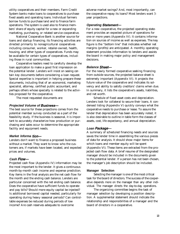utility cooperatives and their members. Farm Credit System banks make loans to cooperatives to purchase fixed assets and operating loans. Individual farmers borrow funds to purchase land and to finance farm operations. The system is used also to finance members' share of equity capital for a new or expanding marketing, purchasing, or related service cooperative.

National Cooperative Bank is another source for loans and startup financing. Its financing activities are directed primarily to nonagricultural cooperatives including consumer, worker, retailer-owned, health, housing, and other types of cooperatives. Funds may be available for certain types of cooperatives, including those in rural communities.

Cooperative leaders need to carefully develop the loan application to make a good first impression on the potential lender. Lenders will insist on seeing certain key documents before considering a loan request. Special expertise is important in helping prepare these documents, including that of an economist, marketing specialist, attorney, certified public accountant, and perhaps others whose specialty is related to the activities proposed for the cooperative.

The most requested documents are:

#### *Projected Volume of Business-*

The best source for these projections comes from the potential member survey conducted as a part of the feasibility study. If the business is seasonal, it is important to accurately characterize how production or purchasing and sales occur to determine the appropriate facility and equipment needs.

#### *Market lnforma tion-*

Lenders don't want to finance a proposed business without a market. They want to know who the customers are, if markets have been located, and expected prices and volumes.

#### *Cash Flow-*

Projected cash flow (Appendix IV) information may be the most important to the lender. It gives a continuous month-by-month cash income and expense prediction. Key items in the final analysis are the net cash flow for the month and the ending cash balance. Lenders are particular concerned with the net ending cash balance. Does the cooperative have sufficient funds to operate and pay bills? Should more equity capital be injected? Is additional borrowed capital needed, particularly for operating during heavy seasonal periods? Can controllable expenses be reduced during periods of low income? Are cash reserves adequate to overcome

adverse market swings? And, most importantly, can the cooperative repay its loans? Most lenders want 3 year projections.

#### *Operating Statement-*

For a new cooperative, the projected operating statement provides an expected picture of operations for one or more years (Appendix IV). It contains information on sources of income as well as expenses. The key figure is the "bottom line" that indicates whether net margins (profits) are anticipated. A monthly operating statement provides information to lenders and assists the board in making major policy and management decisions.

#### **Balance Sheet-**

For the newly formed cooperative seeking financing from outside sources, the projected balance sheet is extremely important (Appendix VI). It projects the future value of the cooperative and indicates its solvency and ability to satisfy creditors' claims when due. In summary, it lists the cooperative's assets, liabilities, and net worth.

Schedule of fixed asset costs and depreciation. Lenders look for collateral to secure their loans. A condensed listing (Appendix V) quickly conveys what the cooperative needs to purchase or lease. To assure the lender that depreciation has been accurately noted, it is also desirable to outline in table form the classes of assets, cost, life expectancy, and annual depreciation.

#### *Loan Package-*

A summary of scheduled financing needs and sources saves the lender time in assembling the various pieces of data for analysis. It should show major items for which loans and member equity will be spent (Appendix VI). These items are extracted from the projected cash flow data. A brief resume of the designated manager should be included in the documents given to the potential lender. If a person has not been chosen, the manager's job description should be included.

#### **Manager Selection**

Selecting the manager is one of the most critical task for the board of directors. The success of the cooperative depends more on the manager than any other individual. The manager directs the day-to-day operations.

The organizing committee begins the task of manager selection by developing a position description. A supplemental statement should indicate the relationship and responsibilities of a manager and the board of directors in a cooperative.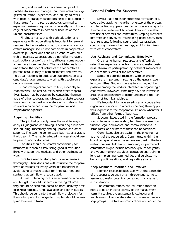Long and varied lists have been compiled of qualities to seek in a manager, but three areas are suggested-education, experience, and ability to work with people. Manager candidates need to be judged in these areas from three perspectives-commodity expertise, business requirements generally, and knowledge of cooperatives in particular because of their unique characteristics.

Finding a manager with both education and experience with cooperatives is important for several reasons. Unlike investor-owned corporations, a cooperative manager should not participate in cooperative ownership. Career decisions could conflict with ownership interests. Cooperatives do not offer managers stock options or profit sharing, although some cooperatives have incentive plans. The candidate needs to understand the special nature of the cooperative's patrons because they're both customers and owners. This dual relationship adds a unique dimension to a candidate's requirements to work with people on a daily business basis.

Good managers are hard to find, especially for cooperatives. The best source is often other cooperatives. Leads may be obtained by contacting the managers of other cooperatives, directors of State cooperative councils, national cooperative organizations, the advisers who helped form the cooperative, and employment agencies.

#### **Acquiring Facilities**

The job that probably takes the most foresight, analysis, judgment, and timing is acquiring a business site, building, machinery and equipment, and other supplies. The steering committee's business analysis is the blueprint. The newly selected manager should participate in facility decisions.

Facilities should be located conveniently for members but enable establishing good distribution links with suppliers, markets, and other business services.

Directors need to study facility requirements thoroughly. Their decisions will influence the cooperative's operations for many years. It's important to avoid using so much capital for fixed facilities and startup that cash flow is jeopardized.

A useful planning tool is an acquisition schedule and budget. It would list items in the logical order they should be acquired, based on need, delivery time, loan requirements, funds available, and other factors. This should be built into the cash flow projection for the startup period. Changes to this plan should be analyzed before enactment.

#### **General Rules for Success**

Several basic rules for successful formation of a cooperative apply to more than one step of the process and to continuing operations. Some rules are unique to the cooperative form of business. They include effective use of advisers and committees, keeping members informed and involved, maintaining good board/manager relations, following sound business practices, conducting businesslike meetings, and forging links with other cooperatives.

#### **Use Advisers and Committees Effectively**

Organizing human resources and effectively using their expertise is central to any successful business. Maximum participation by potential members is crucial to the success of the cooperative.

Selecting potential members with an eye for expertise is important in setting up the general steering committee. Finding true specialists may not be possible among the leaders interested in organizing a cooperative. However, some may have an interest in areas that enables them to better understand the "language" of technical advisers.

It's important to have an adviser on cooperative organization work with others in helping them apply their expertise to the cooperative situation whenever it differs from other forms of business.

Subcommittees used in the formation process should focus on membership, facilities, site selection, finance, legal documents, and communications. In some cases, one or more of these can be combined.

Committees also are useful in the ongoing management of the cooperative. Committees within the board can specialize in the same areas used in the formation process. Additional temporary or permanent committees might include advisory groups for youth and young member activities, education and training, long-term planning, commodities and services, member and public relations, and legislative affairs.

#### **Keep Members Informed and Involved**

Member responsibilities start with the conception of the cooperative and remain throughout its life to assure successful organization, sound management, and operation.

The communications and education function needs to be an integral activity of the management team. It requires the assistance, knowledge, and involvement of cooperative staff and member leadership groups. Effective communications and education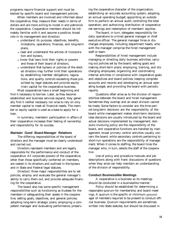programs require financial support and must be backed by specific board and management policies.

When members are involved and informed about the cooperative, they measure their needs in terms of dollars and are more willing to invest in and patronize the cooperative. Cooperative members should be intimately familiar with it and assume a positive, broad role in its management and direction:

- understand its purpose, objectives, benefits, limitations, operations, finances, and long-term plans,
- read and understand the articles of incorporation and bylaws,
- know that laws limit their rights or powers and those of their board of directors,
- understand that bylaws or policies of the elected directors may further limit their operations by establishing member obligations, regulations, and quality controls exceeding those prescribed by legal statutes and provide equity (risk) capital for the cooperative business.

Most cooperatives have a small beginning and find it necessary to borrow. Later, as they become established and business services expand, they generally find it neither necessary nor wise to rely on only member capital to meet all financial needs. The member or equity capital is used as a base to apply for a loan.

In summary, members' participation in affairs of their cooperative increases their feeling of ownership and responsibility for its success.

#### **Maintain Good Board-Manager Relations**

The differing responsibilities of the board of directors and the manager must be clearly understood and carried out.

Directors represent members and are legally responsible for the performance and conduct of the cooperative. All corporate powers of the cooperative, other than those specifically conferred on members, are vested in its directors and outlined in the bylaws and in State and Federal legal statutes.

Directors' three major responsibilities are to set policies, employ and evaluate the general manager's ability to carry them out, and provide adequate financing for the cooperative.

The board also has some specific management responsibilities such as functioning as trustees for the members in safeguarding their assets in the cooperative; setting goals, objectives, and general policies; adopting long-term strategic plans; employing a competent manager and evaluating performance; preserving the cooperative character of the organization; establishing an accurate accounting system; adopting an annual operating budget; appointing an outside firm to perform an annual audit; controlling the total operation; and authorizing distribution of cooperative net earnings and redemption of members' equities.

The board, in turn, delegates responsibility for daily operations to a hired general manager or chief executive officer. The general manager hires or discharges employees, including department heads, who with the manager comprise the hired management staff or team.

Responsibilities of hired management include managing or directing daily business activities; carrying out policies set by the board; setting goals and making short-term plans; employing, training, and discharging employees; organizing and coordinating internal activities in compliance with cooperative goals and objectives and board policies; keeping complete accounts and records and developing an annual operating budget; and providing the board with periodic reports.

Questions often arise as to the division of responsibilities between the board and hired management. Sometimes they overlap and an exact division cannot be made. Some factors to consider are: the time period-long-term decisions are the responsibility of the board while management makes short-term decisions; idea decisions are usually introduced by the board and actual decisions implemented by management; decisions involving policy are the responsibility of the board, and cooperative functions are handled by management; broad primary control activities usually concern the board, while secondary controls pertaining to short-run operations are the responsibility of management. When it comes to staffing, the board hires the manager who, in turn, selects the staff of the cooperative.

Use of policy and procedure manuals and job descriptions along with frank discussions of questions when they arise can help maintain an understanding of the division of responsibility.

#### **Conduct Businesslike Meetings**

A cooperative is a business so its meetings should be conducted in a businesslike manner.

Policy should be established for determining a reasonable quorum for membership and board meetings. A quorum is the specific or minimum percentager of members required to be present to conduct official business. Quorum requirements are sometimes written into State statutes, but should be discussed in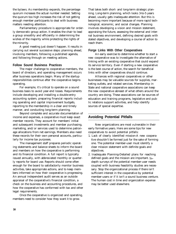the bylaws. As membership expands, the percentage quorum increases the actual number needed. Setting the quorum too high increases the risk of not getting enough member participants to deal with business matters needing attention.

Parliamentary procedure is appropriate for orderly democratic group action. It enables the chair to lead a group smoothly and efficiently in determining the wishes of the majority while protecting the rights of the minority.

A good meeting just doesn't happen. It results in carrying out several successive steps: planning ahead, involving members, following a published agenda, and following through on meeting actions.

#### **Follow Sound Business Practices**

The major challenge to cooperative members, the board of directors, and operating management occurs after business operations begin. Many of the startup responsibilities continue after the cooperative begins operating.

For example, it's critical to operate on a sound business basis to avoid year-end losses. Requirements include developing and installing a double-entry accounting system, preparing financial reports including operating and capital improvement budgets, reporting to the membership in a clear and timely manner, and conducting long-term planning.

Beyond complete and accurate documentation of income and expenses, a cooperative must keep exact member records. They account for members' initial and subsequent investments and member purchasing, marketing, and/or services used to determine patronage allocations from net earnings. Members also need these records for their own personal accounts, particularly for income tax purposes.

The management staff prepares periodic operating statements and balance sheets to inform the board and members on how the cooperative is performing and its financial condition. A full report is typically issued annually, with abbreviated monthly or quarterly reports for board use. Reports should come often enough for the board to satisfactorily monitor business activities, take appropriate actions, and to keep members informed on how their cooperative is progressing. An annual independent audit serves as an outside appraisal of the cooperative's financial condition, a check on the business and accounting procedures, and how the cooperative has conformed with tax and other legal requirements.

Once the cooperative is organized and operating, members need to consider how they want it to grow.

That takes both short- and long-term strategic planning. Long-term planning, which looks 3-to-5 years ahead, usually gets inadequate attention. But this is becoming more important because of more rapid technological, economic, and social changes. Planning involves developing a vision and mission statement, appraising the future, assessing the external and internal business environment, defining desired goals with stated objectives, and developing a course of action to reach them.

#### **Forge Links With Other Cooperatives**

An early exercise to determine whether to start a new cooperative was to investigate the alternative of linking with an existing cooperative that could expand its service territory. Even if starting a new cooperative is the best course of action, the search for beneficial links with other cooperatives should continue.

Alliances with regional cooperatives or other businesses may be valuable sources for supplies, marketing outlets, and related services. Membership in State and national cooperative associations can keep the new cooperative abreast of what others around the country are doing. These associations can be sources of education and training programs, legislative and public relations support activities, and help identify sources of special expertise.

#### **Avoiding Potential Pitfalls**

New organizations are most vulnerable in their early formative years. Here are some tips for new cooperatives to avoid potential pitfalls:

- 1. Lack of clearly identified mission-A new cooperative shouldn't be formed just for the sake of forming one. The potential member-user must identify a clear mission statement with definite goals and objectives.
- 2. Inadequate Planning-Detailed plans for reaching defined goals and the mission are important. Indepth surveys of the potential member-user needs coupled with business feasibility studies are necessary. Stop the organizational process if there isn't sufficient interest in the cooperative by potential member-users or if it isn't a sound business venture. The human cost in time and organization expense may be better used elsewhere.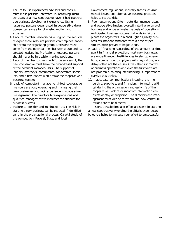- 3. Failure to use experienced advisors and consultants-Most persons interested in becoming member-users of a new cooperative haven't had cooperative business development experience. Using resources persons experienced in cooperative development can save a lot of wasted motion and expense.
- 4. Lack of member leadership-Calling on the services of experienced resource persons can't replace leadership from the organizing group. Decisions must come from the potential member-user group and its selected leadership. Professional resource persons should never be in decisionmaking positions.
- 5. Lack of member commitment-To be successful, the new cooperative must have the broad-based support of the potential member-users. The support of lenders, attorneys, accountants, cooperative specialists, and a few leaders won't make the cooperative a business success.
- 6. Lack of competent management-Most cooperative members are busy operating and managing their own businesses and lack experience in cooperative management. The directors hire experienced and qualified management to increases the chances for business success.
- 7. Failure to identify and minimize risks-The risk in starting a new business can be reduced if identified early in the organizational process. Careful study of the competition, Federal, State, and local

Government regulations, industry trends, environmental issues, and alternative business practices helps to reduce risk.

- 8. Poor assumptions-Often, potential member-users and cooperative leaders overestimate the volume of business and underestimate the costs of operations. Anticipated business success that ends in failure places the organizers in a "bad light." Quality business assumptions tempered with a dose of pessimism often proves to be judicious.
- 9. Lack of financing-Regardless of the amount of time spent in financial projection, most new businesses are underfinanced. Inefficiencies in startup operations, competition, complying with regulations, and delays often are the causes. Often, the first months of business operations and even the first years are not profitable, so adequate financing is important to survive this period.
- 10. Inadequate communications-Keeping the membership, suppliers, and financiers informed is critical during the organization and early life of the cooperative. Lack of or incorrect information can create apathy or suspicion. The directors and management must decide to whom and how communications are to be directed.

Considerable time and effort are spent in starting a new cooperative. Avoiding the pitfalls experienced by others helps to increase your effort to be successful.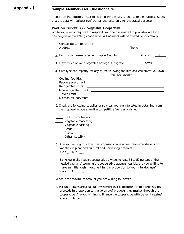## **Appendix** <sup>I</sup> **Sample Member-User Questionnaire**

Prepare an introductory letter to accompany the survey and state the purpose. Stress that the data will be kept confidential and used only for the stated purpose.

#### **Producer Survey: XYZ Vegetable Cooperative**

While you are not required to respond, your help is needed to provide data for a new vegetable marketing cooperative. All answers will be treated confidentially.

| 3. How much of your vegetable acreage is irrigated? ___________ acres.                                                                                                                                                                                            |                   |  |
|-------------------------------------------------------------------------------------------------------------------------------------------------------------------------------------------------------------------------------------------------------------------|-------------------|--|
| 4. Give type and capacity for any of the following facilities and equipment you own.                                                                                                                                                                              | type and capacity |  |
|                                                                                                                                                                                                                                                                   |                   |  |
|                                                                                                                                                                                                                                                                   |                   |  |
|                                                                                                                                                                                                                                                                   |                   |  |
|                                                                                                                                                                                                                                                                   |                   |  |
| $(\text{over } 1 \text{ ton})$                                                                                                                                                                                                                                    |                   |  |
|                                                                                                                                                                                                                                                                   |                   |  |
| <b>Example 2</b> Packing containers<br>Vegetable marketing<br>Vegetable packing<br>Seeds<br>Plants<br>Other (specify)                                                                                                                                             |                   |  |
| 6. Are you willing to follow the proposed cooperative's recommendations on<br>varieties to plant and cultural and harvesting practices?<br>Yes_No $\_\_$                                                                                                          |                   |  |
| 7. Banks generally require cooperative owners to raise 35 to 50 percent of the<br>needed capital. Assuming the cooperative appears feasible, are you willing to<br>make an initial cash investment in it in proportion to your intended use?<br>$Y e S$ No $\_\_$ |                   |  |
| What is the maximum amount you are willing to invest?                                                                                                                                                                                                             |                   |  |
| 8. Per-unit retains are a capital investment that is deducted from patron's sales<br>proceeds in proportion to the volume of products they market through the<br>cooperative. Are you willing to finance the cooperative with per-unit retains?                   |                   |  |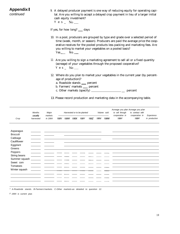## **Appendix** I

*continued*

9. A delayed producer payment is one way of reducing equity for operating capital. Are you willing to accept a delayed crop payment in lieu of a larger initial cash equity investment? Y e s  $\_$  No  $\_$ 

If yes, for how long?  $\_\_$  days

- 10. In a pool, producers are grouped by type and grade over a selected period of time (week, month, or season). Producers are paid the average price the cooperative receives for the pooled products less packing and marketing fees. Are you willing to market your vegetables on a pooled basis?  $Yes$  No  $\_\_$
- 11 Are you willing to sign a marketing agreement to sell all or a fixed quantity (acreage) of your vegetables through the proposed cooperative? Yes  $N_0$
- 12. Where do you plan to market your vegetables in the current year (by percentage of production)? age of production)?<br>a. Roadside stands \_\_\_ percent
	- a. Roadside stands \_\_ percent<br>b. Farmers' markets \_\_ percent
	-
	- c. Other markets (specify) \_\_ percent

13. Please record production and marketing data in the accompanying table.

|                 | <b>Months</b><br>Harvested or to be planted<br>Major |                    | Volume so/d |      | Acreage you plan Acreage you p/an<br>to sell through | to contract with |      |      |      |                        |                        |                             |
|-----------------|------------------------------------------------------|--------------------|-------------|------|------------------------------------------------------|------------------|------|------|------|------------------------|------------------------|-----------------------------|
| Crop            | usually<br>harvested                                 | markets<br>in 199X | 199V        | 199W | 199X                                                 | 199Y             | 199Z | 199V | 199W | cooperative in<br>199Y | cooperative in<br>199Y | Experience<br>in production |
| Asparagus       |                                                      |                    |             |      |                                                      |                  |      |      |      |                        |                        |                             |
| <b>Broccoli</b> |                                                      |                    |             |      |                                                      |                  |      |      |      |                        |                        |                             |
| Cabbage         |                                                      |                    |             |      |                                                      |                  |      |      |      |                        |                        |                             |
| Cauliflower     |                                                      |                    |             |      |                                                      |                  |      |      |      |                        |                        |                             |
| Eggplant        |                                                      |                    |             |      |                                                      |                  |      |      |      |                        |                        |                             |
| Greens          |                                                      |                    |             |      |                                                      |                  |      |      |      |                        |                        |                             |
| Peppers         |                                                      |                    |             |      |                                                      |                  |      |      |      |                        |                        |                             |
| String beans    |                                                      |                    |             |      |                                                      |                  |      |      |      |                        |                        |                             |
| Summer squash   |                                                      |                    |             |      |                                                      |                  |      |      |      |                        |                        |                             |
| Sweet corn      |                                                      |                    |             |      |                                                      |                  |      |      |      |                        |                        |                             |
| Tomatoes        |                                                      |                    |             |      |                                                      |                  |      |      |      |                        |                        |                             |
| Winter squash   |                                                      |                    |             |      |                                                      |                  |      |      |      |                        |                        |                             |
|                 |                                                      |                    |             |      |                                                      |                  |      |      |      |                        |                        |                             |
|                 |                                                      |                    |             |      |                                                      |                  |      |      |      |                        |                        |                             |
|                 |                                                      |                    |             |      |                                                      |                  |      |      |      |                        |                        |                             |
|                 |                                                      |                    |             |      |                                                      |                  |      |      |      |                        |                        |                             |

*1 A-Roadside stands. B-Farmers'markets. C-Other markets-as detailed to question 12.*

*z 199X is current year.*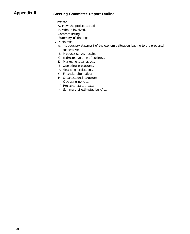## **Appendix II Steering Committee Report Outline**

- I. Preface
	- A. How the project started.
	- B. Who is involved.
- II. Contents listing.
- III. Summary of findings
- IV. Main text.
	- A. Introductory statement of the economic situation leading to the proposed cooperative.
	- B. Producer survey results.
	- C. Estimated volume of business.
	- D. Marketing alternatives.
	- E. Operating procedures.
	- F. Financing projections.
	- G. Financial alternatives.
	- H. Organizational structure.
	- I. Operating policies.
	- J. Projected startup date.
	- K. Summary of estimated benefits.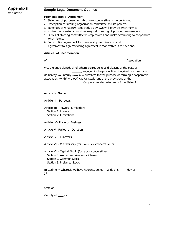## **Appendix III**

*con timed*

### **Sample Legal Document Outlines**

#### **Premembership Agreement**

- 1. Statement of purposes for which new cooperative is tho be formed.
- 2. Description of steering organization committee and its powers.
- 3. Statement of what new cooperative's bylaws will provide when formed.
- 4. Notice that steering committee may call meeting of prospective members.
- 5. Duties of steering committee to keep records and make accounting to cooperative when formed.
- 6. Subscription agreement for membership certificate or stock.
- 7. Agreement to sign marketing agreement if cooperative is to have one.

#### **Articles of Incorporation**

of **Association** 

We, the undersigned, all of whom are residents and citizens of the State of

engaged in the production of agricultural products, do hereby voluntarily associaie ourselves for the purpose of forming a cooperative association, (with/without) capital stock, under the provisions of the **Cooperative Marketing Act of the State of** 

Article I- Name

Article II- Purposes

Article III- Powers; Limitations Section 1. Powers Section 2. Limitations

Article IV- Place of Business

Article V- Period of Duration

Article VI- Directors

Article VII- Membership (for nonstock cooperative) or

Article VII- Capital Stock (for stock cooperative) Section 1. Authorized Amounts; Classes. Section 2. Common Stock. Section 3. Preferred Stock.

In testimony whereof, we have hereunto set our hands this \_\_\_\_\_ day of \_\_\_\_\_\_\_\_\_\_,  $19$ .

State of

County of \_\_\_\_\_ ss.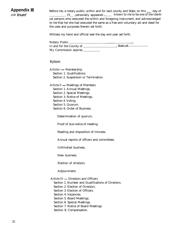## **Appendix III**

*con timed*

Before me, a notary public, within and for said county and State, on this \_\_\_ day of , 19<sub>\_\_</sub>, personally appeared , \_\_\_\_\_ known to me to be one of the identical persons who executed the within and foregoing instrument, and acknowledged to me that he/she had executed the same as a free and voluntary act and deed for the uses and purposes therein set forth.

Witness my hand and official seal the day and year set forth.

| Notary Public            |            |
|--------------------------|------------|
| In and for the County of | , State of |
| My Commission expires    |            |

#### Bylaws

Article  $I -$  Membership Section 1. Qualifications. Section 2. Suspension or Termination.

Article  $II$   $-$  Meetings of Members Section 1. Annual Meetings. Section 2. Special Meetings. Section 3. Notice of Meetings. Section 4. Voting.

- Section 5. Quorum.
- Section 6. Order of Business.

Determination of quorum.

Proof of due notice of meeting.

Reading and disposition of minutes.

Annual reports of officers and committees.

Unfinished business.

New business.

Election of directors.

Adjournment.

Article III - Directors and Officers

Section 1. Number and Qualifications of Directors.

Section 2. Election of Directors.

Section 3. Election of Officers.

Section 4. Vacancies.

Section 5. Board Meetings.

Section 6. Special Meetings.

Section 7. Notice of Board Meetings.

Section 8. Compensation.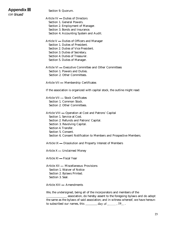## **Appendix III**

Section 9. Quorum.

| con tinued |
|------------|

Article IV - Duties of Directors Section 1. General Powers. Section 2. Employment of Manager. Section 3. Bonds and Insurance. Section 4. Accounting System and Audit. Article  $V$  — Duties of Officers and Manager Section 1. Duties of President. Section 2. Duties of Vice President. Section 3. Duties of Secretary. Section 4. Duties of Treasurer. Section 5. Duties of Manager. Article VI - Executive Committee and Other Committees Section 1. Powers and Duties. Section 2. Other Committees. Article VII - Membership Certificates If the association is organized with capital stock, the outline might read: Article VII - Stock Certificates Section 1. Common Stock. Section 2. Other Committees. Article VIII - Operation at Cost and Patrons' Capital Section 1. Service at Cost. Section 2. Refunds and Patrons' Capital. Section 3. Revolving Capital. Section 4. Transfer. Section 5. Consent. Section 6. Consent Notification to Members and Prospective Members. Article IX - Dissolution and Property Interest of Members Article  $X$  — Unclaimed Money Article XI - Fiscal Year Article XII - Miscellaneous Provisions Section 1. Waiver of Notice Section 2. Bylaws Printed. Section 3. Seal. Article XIII - Amendments We, the undersigned, being all of the incorporators and members of the

association, do hereby assent to the foregoing bylaws and do adopt the same as the bylaws of said association; and in witness whereof, we have hereunto subscribed our names, this  $\frac{d}{dx}$  day of  $\frac{1}{x}$ , 19 $\frac{1}{x}$ .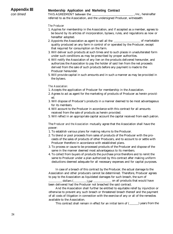## **Membership Application and Marketing Contract**

*con timed*

THIS AGREEMENT between the  $\qquad \qquad$  , Inc., hereinafter referred to as the Association, and the undersigned Producer, witnesseth:

#### *The Producer*

- 1. Applies for membership in the Association, and if accepted as a member, agrees to be bound by its articles of incorporation, bylaws, rules, and regulations as now or hereafter adopted.
- 2. Appoints the Association as agent to sell all the  $\qquad \qquad$  of marketable quality produced an any farm in control of or operated by the Producer, except that required for consumption on the farm.
- 3. Will deliver such products at such times and to such places in unadulterated form under such conditions as may be prescribed by proper authorities.
- 4. Will notify the Association of any lien on the products delivered hereunder, and authorizes the Association to pay the holder of said lien from the net proceeds derived from the sale of such products before any payment is made to the Producer hereunder.
- 5. Will provide capital in such amounts and in such a manner as may be provided in the bylaws.

#### *The Association:*

- 1. Accepts the application of Producer for membership in the Association.
- 2. Agrees to act as agent for the marketing of products of Producer as herein provided.
- 3. Will dispose of Producer's products in a manner deemed to be most advantageous for its members.
- 4. Will account to the Producer in accordance with this contract for all amounts received from the sale of products as herein provided.
- 5. Will reflect in an appropriate capital account the capital received from each patron.

The *Producer and the Association* mutually agree that the Association shall have the power:

- 1. To establish various plans for making returns to the Producer.
- 2. To blend or pool proceeds from sales of products of the Producer with the proceeds of the sales of products of other Producers, and to account to or settle with Producer therefore in accordance with established plans.
- 3. To process or cause to be processed products of the Producer and dispose of the same in the manner deemed most advantageous to its members.
- 4. To collect from buyers of products the purchase price therefore and to remit the same to Producer under a plan authorized by this contract after making uniform deductions deemed adequate for all necessary expenses and for capital purposes.

In case of a breach of this contract by the Producer, the actual damage to the Association and other producers cannot be determined. Therefore, Producer agrees to pay to the Association as liquidated damages for such breach, the sum of dollars  $($   $)$  per  $)$  per on all products that would have

been delivered had the Producer not breached the said contract.

And the Association shall further be entitled to equitable relief by injunction or otherwise to prevent any such breach or threatened breach thereof and the payment of all costs of litigation in connection with the exercise of any or all of the remedies available to the Association.

This contract shall remain in effect for an initial term of  $($   $)$  years from the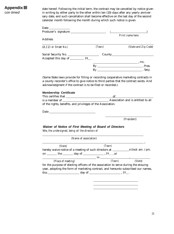## **Appendix III** *con timed*

date hereof. Following the initial term, the contract may be cancelled by notice given in writing by either party to the other within ten (10) days after any yearly anniversary date, and such cancellation shall become effective on the last day of the second calendar month following the month during which such notice is given.

|                                                                                                                                                                                                                                                 |                                                                                      | Print name here                 |
|-------------------------------------------------------------------------------------------------------------------------------------------------------------------------------------------------------------------------------------------------|--------------------------------------------------------------------------------------|---------------------------------|
| Address                                                                                                                                                                                                                                         |                                                                                      |                                 |
| (R.F.D. or Street No.)                                                                                                                                                                                                                          | (Town)                                                                               | (State and Zip Code)            |
|                                                                                                                                                                                                                                                 |                                                                                      |                                 |
| Accepted this day of $\overline{\hspace{1cm}19}$ .                                                                                                                                                                                              |                                                                                      |                                 |
|                                                                                                                                                                                                                                                 |                                                                                      | $\overline{\phantom{a}}$ , Inc. |
|                                                                                                                                                                                                                                                 |                                                                                      | $\mathbf{B} \mathbf{v}$ Pres.   |
|                                                                                                                                                                                                                                                 |                                                                                      |                                 |
| (Some State laws provide for filling or recording cooperative marketing contracts in<br>a county recorder's office to give notice to third parties that the contract exists. And<br>acknowledgment if the contract is to be filed or recorded.) |                                                                                      |                                 |
| <b>Membership Certificate</b>                                                                                                                                                                                                                   |                                                                                      |                                 |
|                                                                                                                                                                                                                                                 |                                                                                      | of                              |
|                                                                                                                                                                                                                                                 |                                                                                      |                                 |
| of the rights, benefits, and privileges of the Association.                                                                                                                                                                                     |                                                                                      |                                 |
| Date <u>and the second contract of the second contract of the second contract of the second contract of the second contract of the second contract of the second contract of the second contract of the second contract of the s</u>            |                                                                                      |                                 |
|                                                                                                                                                                                                                                                 |                                                                                      | (President)                     |
|                                                                                                                                                                                                                                                 |                                                                                      |                                 |
| Waiver of Notice of First Meeting of Board of Directors<br>We, the undersigned, being all the directors of                                                                                                                                      |                                                                                      |                                 |
| (Name of association)                                                                                                                                                                                                                           |                                                                                      |                                 |
| (State)                                                                                                                                                                                                                                         | (Town)                                                                               |                                 |
| hereby waive notice of a meeting of such directors at _______________o'clock am. /pm.                                                                                                                                                           |                                                                                      |                                 |
|                                                                                                                                                                                                                                                 |                                                                                      |                                 |
|                                                                                                                                                                                                                                                 |                                                                                      |                                 |
| (Place of meeting)                                                                                                                                                                                                                              | $\frac{\text{may on}}{\text{in}}$ $\frac{\text{in}}{\text{f}_0 \cdot \text{f}_1}$ (S | (State)                         |
| for the purpose of electing officers of the association to serve during the ensuing<br>year, adopting the form of marketing contract, and hereunto subscribed our names,                                                                        |                                                                                      |                                 |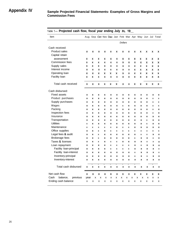| Item                         | Aug  |   |                           |   |   |                           |                |   |   |        |   |   | Sep Oct Nov Dec Jan Feb Mar Apr May Jun Jul Total |
|------------------------------|------|---|---------------------------|---|---|---------------------------|----------------|---|---|--------|---|---|---------------------------------------------------|
|                              |      |   |                           |   |   |                           | <b>Dollars</b> |   |   |        |   |   |                                                   |
| Cash received:               |      |   |                           |   |   |                           |                |   |   |        |   |   |                                                   |
| <b>Product sales</b>         | x    | X | X                         | x | X | X                         | x              | x | X | x      | X | X | X                                                 |
| Capital retain               |      |   |                           |   |   |                           |                |   |   |        |   |   |                                                   |
| assessment                   | x    | X | x                         | x | x | x                         | x              | x | x | X      | x | X | X                                                 |
| Commission fees              | X    | X | x                         | X | X | X                         | x              | x | x | x      | X | X | X                                                 |
| Supply sales                 | X    | X | x                         | x | X | x                         | x              | x | x | x      | x | x | X                                                 |
| Interest income              | x    | x | x                         | x | x | x                         | x              | x | x | x      | x | x | x                                                 |
| Operating loan               | x    | x | X                         | x | x | X                         | x              | x | x | X      | x | x | X                                                 |
| Facility loan                | x    | X | x                         | x | X | X                         | x              | x | x | x      | x | X | X                                                 |
| Total cash received          | x    | x | x                         | X | x | x                         | x              | X | x | X      | x | X | X                                                 |
| Cash disbursed:              |      |   |                           |   |   |                           |                |   |   |        |   |   |                                                   |
| <b>Fixed assets</b>          | x    | X | x                         | x | x | x                         | x              | X | X | X      | x | Χ | x                                                 |
| Product purchases            | x    | X | x                         | x | x | x                         | x              | X | X | X      | x | X | x                                                 |
| Supply purchases             | x    | x | x                         | x | x | x                         | x              | x | x | x      | x | x | x                                                 |
| Wages                        | x    | X | X                         | X | X | X                         | X              | X | X | X      | X | X | x                                                 |
| Packing                      | x    | X | X                         | X | x | X                         | x              | X | x | x      | X | X | X                                                 |
| Inspection fees              | X    | X | X                         | X | X | X                         | X              | X | X | X      | X | X | X                                                 |
| Insurance                    | x    | X | X                         | x | X | x                         | x              | X | X | X      | x | X | X                                                 |
| Transportation               | x    | X | x                         | x | x | x                         | x              | X | x | x      | x | X | x                                                 |
| <b>Utilities</b>             | X    | X | x                         | x | x | x                         | x              | x | x | x      | x | X | x                                                 |
| Maintenance                  | X    | X | X                         | X | X | x                         | x              | X | X | x      | X | X | x                                                 |
| Office supplies              | x    | x | x                         | x | x | x                         | x              | x | x | x      | x | X | x                                                 |
| Legal fees & audit           | x    | X | x                         | x | X | x                         | x              | X | X | X      | X | X | x                                                 |
| <b>Brokerage fees</b>        | X    | X | x                         | x | x | x                         | x              | x | x | x      | X | Χ | x                                                 |
| Taxes & licenses             | X    | x | X                         | x | x | x                         | x              | x | x | x      | x | X | X                                                 |
| Loan repayment               | x    | x | x                         | x | x | X                         | x              | X | X | X      | X | X | x                                                 |
| Facility loan-principal      | x    | x | x                         | x | x | x                         | x              | x | x | x      | x | x | X                                                 |
| Facility loan-interest       | X    | X | X                         | X | X | $\boldsymbol{\mathsf{x}}$ | X              | X | X | X      | X | X | X                                                 |
| Inventory-principal          | X    | X | $\boldsymbol{\mathsf{x}}$ | X | X | $\boldsymbol{\mathsf{x}}$ | X              | X | X | X      | X | X | x                                                 |
| Inventory-interest           | X    | x | X                         | X | X | $\boldsymbol{\mathsf{x}}$ | X              | X | X | x      | x | X | X                                                 |
| Total cash disbursed         | X    | X | X                         | x | x | x                         | X              | X | x | x      | X | X | X                                                 |
| Net cash flow                | X    | x | x                         | x | X | X                         | X              | x | X | X      | X | x | x                                                 |
| Cash<br>balance,<br>previous | year | x | X                         | X | X | x                         | x              | X | X | X<br>X | X | X | x                                                 |
| Ending cash balance          | x    | X | X                         | X | X | x                         | х              | X | X | x      | x | x | х                                                 |

#### Table 1- Projected cash flow, fiscal year ending July 31, 19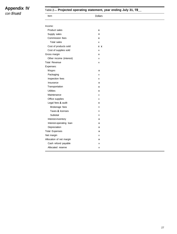## **Appendix IV** *con timed*

#### Table 2- **Projected operating statement, year ending July 31, 19\_**

| Item                     | <b>Dollars</b> |  |
|--------------------------|----------------|--|
|                          |                |  |
| Income:                  |                |  |
| <b>Product sales</b>     | Χ              |  |
| Supply sales             | X              |  |
| Commission fees          | X              |  |
| <b>Total sales</b>       | X              |  |
| Cost of products sold    | x x            |  |
| Cost of supplies sold    | X              |  |
| Gross margin             | X              |  |
| Other income (interest)  | Χ              |  |
| <b>Total Revenue</b>     | x              |  |
| Expenses:                |                |  |
| Wages                    | X              |  |
| Packaging                | X              |  |
| Inspection fees          | X              |  |
| Insurance                | x              |  |
| Transportation           | X              |  |
| <b>Utilities</b>         | x              |  |
| Maintenance              | X              |  |
| Office supplies          | Χ              |  |
| Legal fees & audit       | x              |  |
| Brokerage fees           | X              |  |
| Taxes & licenses         | X              |  |
| Subtotal                 | χ              |  |
| Interest-inventory       | x              |  |
| Interest-operating loan  | X              |  |
| Depreciation             | x              |  |
| <b>Total Expenses</b>    | X              |  |
| Net margin               | X              |  |
| Allocation of net margin | x              |  |
| Cash refund payable      | X              |  |
| Allocated reserve        | X              |  |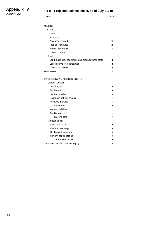## **Appendix IV**

## Table 3- **Projected balance sheet, as of July 31, 19\_**

*continued*

| Item                                                | <b>Dollars</b> |  |
|-----------------------------------------------------|----------------|--|
| <b>ASSETS</b>                                       |                |  |
| Current:                                            |                |  |
| Cash                                                | x              |  |
| Inventory                                           | x              |  |
| Accounts receivable                                 | x              |  |
| Prepaid insurance                                   | x              |  |
| Interest receivable                                 | x              |  |
| Total current                                       | x              |  |
| Fixed:                                              |                |  |
| Land, buildings, equipment and organizational costs | x              |  |
| Less reserve for depreciation                       | x              |  |
| Net fixed assets                                    | X              |  |
| Total assets                                        | x              |  |
| LIABILITIES AND MEMBER EQUITY                       |                |  |
| Current liabilities:                                |                |  |
| Inventory loan                                      | x              |  |
| Facility Ioan                                       | X              |  |
| Interest payable                                    | x              |  |
| Patronage refund payable                            | x              |  |
| Accounts payable                                    | x              |  |
| Total current                                       | x              |  |
| Long term liabilities:                              |                |  |
| Facility loan                                       | X              |  |
| Total long term                                     | X              |  |
| Member equity:                                      |                |  |
| Stock purchased                                     | x              |  |
| Allocated earnings                                  | x              |  |
| Unallocated earnings                                | x              |  |
| Per unit capital retains                            | x              |  |
| Total member equity                                 | x              |  |
| Total liabilities and member equity                 | x              |  |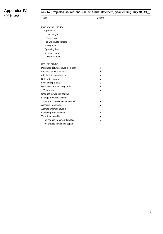## **Appendix IV**

*con timed*

Table 4- **Projected source and use of funds statement, year ending July 31,19\_**

| Item                              | <b>Dollars</b> |  |
|-----------------------------------|----------------|--|
| SOURCE OF FUNDS                   |                |  |
| Operations:                       |                |  |
| Net margin                        |                |  |
| Depreciation                      |                |  |
| Per unit capital retains          |                |  |
| Facility Ioan                     |                |  |
| Operating loan                    |                |  |
| Inventory loan                    |                |  |
| Total sources                     |                |  |
| USE OF FUNDS                      |                |  |
| Patronage refunds payable in cash | х              |  |
| Additions to fixed assets         | x              |  |
| Additions to investments          | x              |  |
| Deferred charges                  | x              |  |
| Loan principal paid               | x              |  |
| Net increase in working capital   | x              |  |
| Total uses                        | x              |  |
| Changes in working capital:       |                |  |
| Change in current assets:         |                |  |
| Cash and certificates of deposit  | x              |  |
| Accounts receivable               | x              |  |
| Accrued interest payable          | x              |  |
| Operating loan payable            | x              |  |
| Term loan payable                 | x              |  |
| Net change in current liabilities | x              |  |
| Net change in working capital     | x              |  |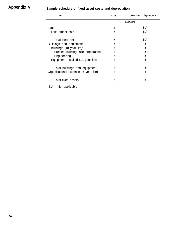# **Appendix V Sample schedule of fixed asset costs and depreciation**

| <b>Item</b>                          | cost |                | Annual depreciation |
|--------------------------------------|------|----------------|---------------------|
|                                      |      | <b>Dollars</b> |                     |
| Land                                 | X    |                | NA                  |
| Less timber sale                     | X    |                | NA.                 |
| Total land, net                      | X    |                | NA.                 |
| Buildings and equipment              | X    |                | X                   |
| Buildings (18 year life):            | X    |                | X                   |
| Erected building, site preparation   | X    |                | X                   |
| Engineering                          | X    |                | X                   |
| Equipment installed (12 year life)   | X    |                | X                   |
| Total buildings and equipment        | x    |                | X                   |
| Organizational expense (5 year life) | X    |                | X                   |
| Total fixed assets                   | X    |                | x                   |

NA = Not applicable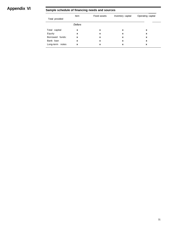# **Appendix VI Sample schedule of financing needs and sources**

|                 | Item    | <b>Fixed assets</b> | Inventory capital | Operating capital |
|-----------------|---------|---------------------|-------------------|-------------------|
| Total provided  |         |                     |                   |                   |
|                 | Dollars |                     |                   |                   |
| Total capital   | X       | x                   | x                 | x                 |
| Equity          | X       | x                   | x                 | x                 |
| Borrowed funds: | X       | X                   | x                 | x                 |
| Bank loan       | X       | x                   | x                 | x                 |
| Long-term notes | X       | x                   | x                 | x                 |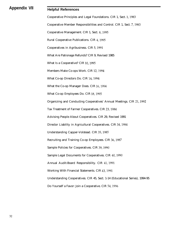## **Appendix VII Helpful References**

Cooperative Principles and Legal Foundations. CIR 1, Sect. 1,1983 Cooperative Member Responsibilities and Control. CIR 1, Sect. 7,1983 Cooperative Management. CIR 1, Sect. 8,1995 Rural Cooperative Publications. CIR 4,1995 Cooperatives in Agribusiness. CIR 5,199l What Are Patronage Refunds? CIR 9, Revised 1985 What Is a Cooperative? CIR 10, 1995 Members Make Co-ops Work. CIR 12,1994 What Co-op Directors Do. CIR 14,1994 What the Co-op Manager Does. CIR 16,1994 What Co-op Employees Do. CIR 18,1995 Organizing and Conducting Cooperatives' Annual Meetings. CIR 21,1992 Tax Treatment of Farmer Cooperatives. CIR 23,1984 Advising People About Cooperatives. CIR 29, Revised 1991 Director Liability in Agricultural Cooperatives. CIR 34,1984 Understanding Capper-Volstead. CIR 35,1985 Recruiting and Training Co-op Employees. CIR 36,1987 Sample Policies for Cooperatives. CIR 39,199O Sample Legal Documents for Cooperatives. CIR 40,199O Annual Audit-Board Responsibility. CIR 41,199l Working With Financial Statements. CIR 43,199l Understanding Cooperatives. CIR 45, Sect. 1-14 (Educational Series), 1994-95 Do Yourself a Favor: Join a Cooperative. CIR 54,1996